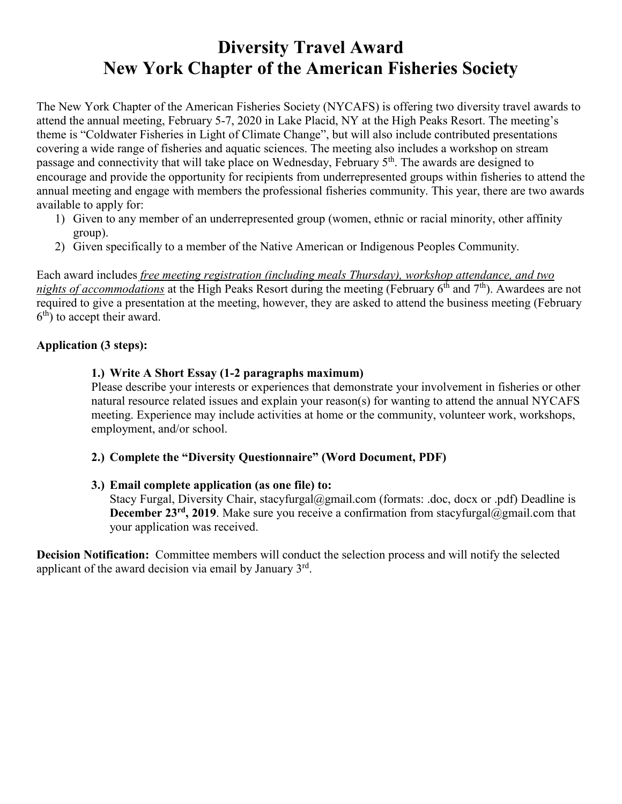## **Diversity Travel Award New York Chapter of the American Fisheries Society**

The New York Chapter of the American Fisheries Society (NYCAFS) is offering two diversity travel awards to attend the annual meeting, February 5-7, 2020 in Lake Placid, NY at the High Peaks Resort. The meeting's theme is "Coldwater Fisheries in Light of Climate Change", but will also include contributed presentations covering a wide range of fisheries and aquatic sciences. The meeting also includes a workshop on stream passage and connectivity that will take place on Wednesday, February 5<sup>th</sup>. The awards are designed to encourage and provide the opportunity for recipients from underrepresented groups within fisheries to attend the annual meeting and engage with members the professional fisheries community. This year, there are two awards available to apply for:

- 1) Given to any member of an underrepresented group (women, ethnic or racial minority, other affinity group).
- 2) Given specifically to a member of the Native American or Indigenous Peoples Community.

Each award includes *free meeting registration (including meals Thursday), workshop attendance, and two nights of accommodations* at the High Peaks Resort during the meeting (February 6<sup>th</sup> and 7<sup>th</sup>). Awardees are not required to give a presentation at the meeting, however, they are asked to attend the business meeting (February  $6<sup>th</sup>$ ) to accept their award.

#### **Application (3 steps):**

#### **1.) Write A Short Essay (1-2 paragraphs maximum)**

Please describe your interests or experiences that demonstrate your involvement in fisheries or other natural resource related issues and explain your reason(s) for wanting to attend the annual NYCAFS meeting. Experience may include activities at home or the community, volunteer work, workshops, employment, and/or school.

#### **2.) Complete the "Diversity Questionnaire" (Word Document, PDF)**

#### **3.) Email complete application (as one file) to:**

Stacy Furgal, Diversity Chair, stacyfurgal@gmail.com (formats: .doc, docx or .pdf) Deadline is **December 23<sup>rd</sup>**, 2019. Make sure you receive a confirmation from stacyfurgal@gmail.com that your application was received.

**Decision Notification:** Committee members will conduct the selection process and will notify the selected applicant of the award decision via email by January  $3<sup>rd</sup>$ .